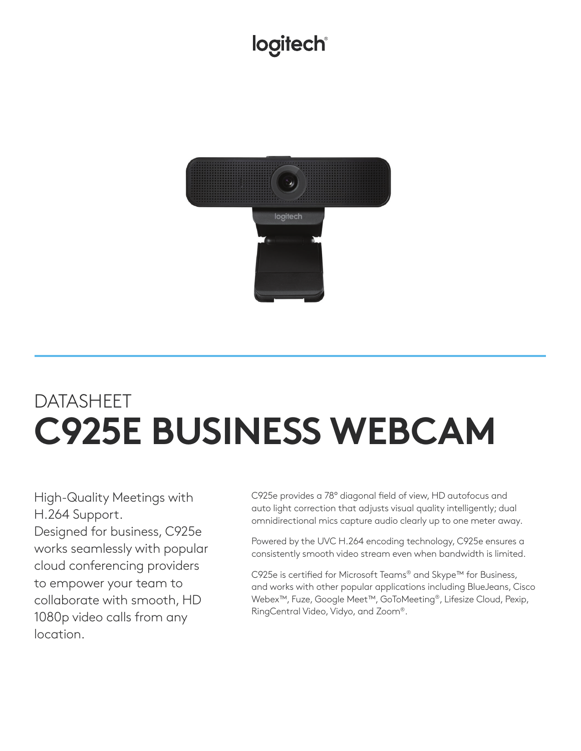## logitech®



## DATASHEET **C925E BUSINESS WEBCAM**

High-Quality Meetings with H.264 Support. Designed for business, C925e works seamlessly with popular cloud conferencing providers to empower your team to collaborate with smooth, HD 1080p video calls from any location.

C925e provides a 78° diagonal field of view, HD autofocus and auto light correction that adjusts visual quality intelligently; dual omnidirectional mics capture audio clearly up to one meter away.

Powered by the UVC H.264 encoding technology, C925e ensures a consistently smooth video stream even when bandwidth is limited.

C925e is certified for Microsoft Teams® and Skype™ for Business, and works with other popular applications including BlueJeans, Cisco Webex™, Fuze, Google Meet™, GoToMeeting®, Lifesize Cloud, Pexip, RingCentral Video, Vidyo, and Zoom®.